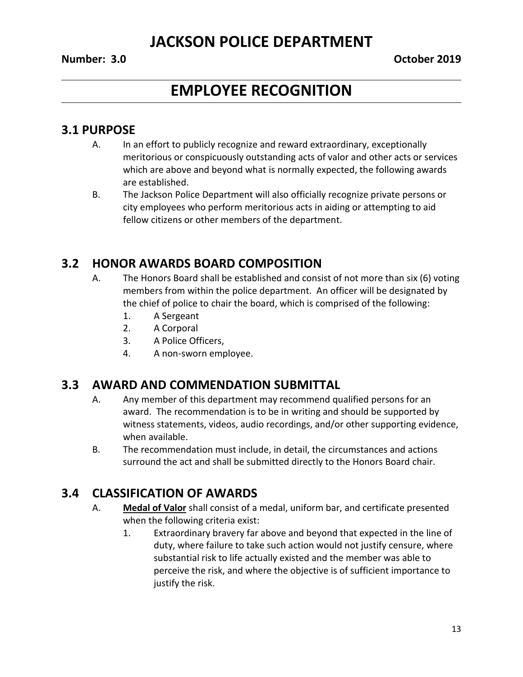# **EMPLOYEE RECOGNITION**

### **3.1 PURPOSE**

- A. In an effort to publicly recognize and reward extraordinary, exceptionally meritorious or conspicuously outstanding acts of valor and other acts or services which are above and beyond what is normally expected, the following awards are established.
- B. The Jackson Police Department will also officially recognize private persons or city employees who perform meritorious acts in aiding or attempting to aid fellow citizens or other members of the department.

### **3.2 HONOR AWARDS BOARD COMPOSITION**

- A. The Honors Board shall be established and consist of not more than six (6) voting members from within the police department. An officer will be designated by the chief of police to chair the board, which is comprised of the following:
	- 1. A Sergeant
	- 2. A Corporal
	- 3. A Police Officers,
	- 4. A non-sworn employee.

### **3.3 AWARD AND COMMENDATION SUBMITTAL**

- A. Any member of this department may recommend qualified persons for an award. The recommendation is to be in writing and should be supported by witness statements, videos, audio recordings, and/or other supporting evidence, when available.
- B. The recommendation must include, in detail, the circumstances and actions surround the act and shall be submitted directly to the Honors Board chair.

### **3.4 CLASSIFICATION OF AWARDS**

- A. **Medal of Valor** shall consist of a medal, uniform bar, and certificate presented when the following criteria exist:
	- 1. Extraordinary bravery far above and beyond that expected in the line of duty, where failure to take such action would not justify censure, where substantial risk to life actually existed and the member was able to perceive the risk, and where the objective is of sufficient importance to justify the risk.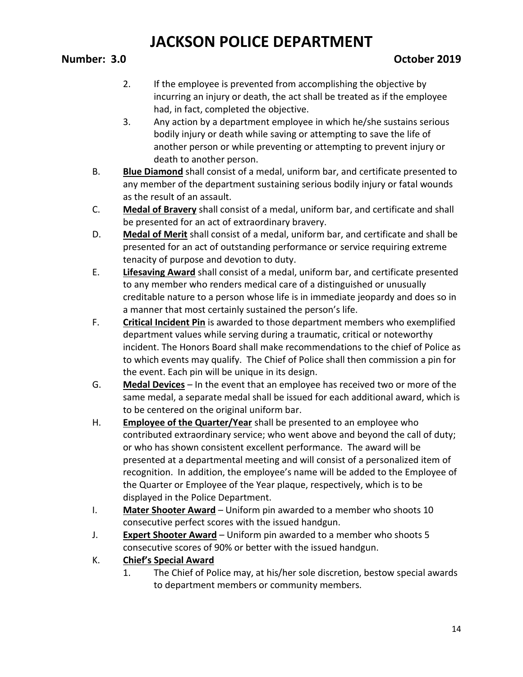- 2. If the employee is prevented from accomplishing the objective by incurring an injury or death, the act shall be treated as if the employee had, in fact, completed the objective.
- 3. Any action by a department employee in which he/she sustains serious bodily injury or death while saving or attempting to save the life of another person or while preventing or attempting to prevent injury or death to another person.
- B. **Blue Diamond** shall consist of a medal, uniform bar, and certificate presented to any member of the department sustaining serious bodily injury or fatal wounds as the result of an assault.
- C. **Medal of Bravery** shall consist of a medal, uniform bar, and certificate and shall be presented for an act of extraordinary bravery.
- D. **Medal of Merit** shall consist of a medal, uniform bar, and certificate and shall be presented for an act of outstanding performance or service requiring extreme tenacity of purpose and devotion to duty.
- E. **Lifesaving Award** shall consist of a medal, uniform bar, and certificate presented to any member who renders medical care of a distinguished or unusually creditable nature to a person whose life is in immediate jeopardy and does so in a manner that most certainly sustained the person's life.
- F. **Critical Incident Pin** is awarded to those department members who exemplified department values while serving during a traumatic, critical or noteworthy incident. The Honors Board shall make recommendations to the chief of Police as to which events may qualify. The Chief of Police shall then commission a pin for the event. Each pin will be unique in its design.
- G. **Medal Devices** In the event that an employee has received two or more of the same medal, a separate medal shall be issued for each additional award, which is to be centered on the original uniform bar.
- H. **Employee of the Quarter/Year** shall be presented to an employee who contributed extraordinary service; who went above and beyond the call of duty; or who has shown consistent excellent performance. The award will be presented at a departmental meeting and will consist of a personalized item of recognition. In addition, the employee's name will be added to the Employee of the Quarter or Employee of the Year plaque, respectively, which is to be displayed in the Police Department.
- I. **Mater Shooter Award** Uniform pin awarded to a member who shoots 10 consecutive perfect scores with the issued handgun.
- J. **Expert Shooter Award** Uniform pin awarded to a member who shoots 5 consecutive scores of 90% or better with the issued handgun.
- K. **Chief's Special Award**
	- 1. The Chief of Police may, at his/her sole discretion, bestow special awards to department members or community members.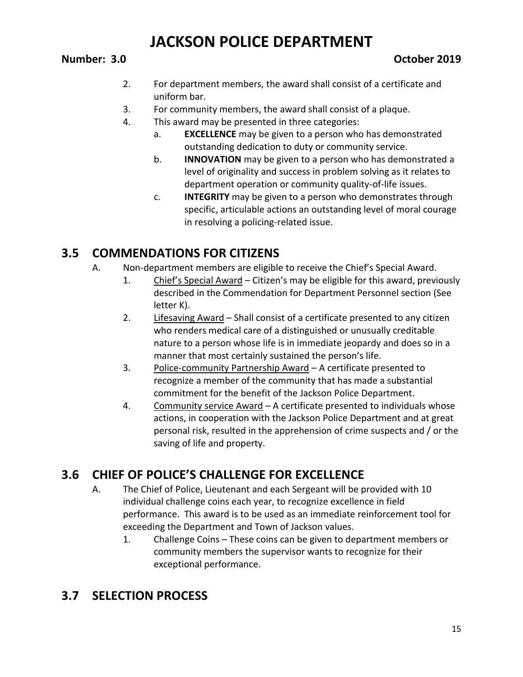- 2. For department members, the award shall consist of a certificate and uniform bar.
- 3. For community members, the award shall consist of a plaque.
- 4. This award may be presented in three categories:
	- a. **EXCELLENCE** may be given to a person who has demonstrated outstanding dedication to duty or community service.
	- b. **INNOVATION** may be given to a person who has demonstrated a level of originality and success in problem solving as it relates to department operation or community quality-of-life issues.
	- c. **INTEGRITY** may be given to a person who demonstrates through specific, articulable actions an outstanding level of moral courage in resolving a policing-related issue.

## **3.5 COMMENDATIONS FOR CITIZENS**

- A. Non-department members are eligible to receive the Chief's Special Award.
	- 1. Chief's Special Award Citizen's may be eligible for this award, previously described in the Commendation for Department Personnel section (See letter K).
	- 2. Lifesaving Award Shall consist of a certificate presented to any citizen who renders medical care of a distinguished or unusually creditable nature to a person whose life is in immediate jeopardy and does so in a manner that most certainly sustained the person's life.
	- 3. Police-community Partnership Award A certificate presented to recognize a member of the community that has made a substantial commitment for the benefit of the Jackson Police Department.
	- 4. Community service Award A certificate presented to individuals whose actions, in cooperation with the Jackson Police Department and at great personal risk, resulted in the apprehension of crime suspects and / or the saving of life and property.

## **3.6 CHIEF OF POLICE'S CHALLENGE FOR EXCELLENCE**

- A. The Chief of Police, Lieutenant and each Sergeant will be provided with 10 individual challenge coins each year, to recognize excellence in field performance. This award is to be used as an immediate reinforcement tool for exceeding the Department and Town of Jackson values.
	- 1. Challenge Coins These coins can be given to department members or community members the supervisor wants to recognize for their exceptional performance.

## **3.7 SELECTION PROCESS**